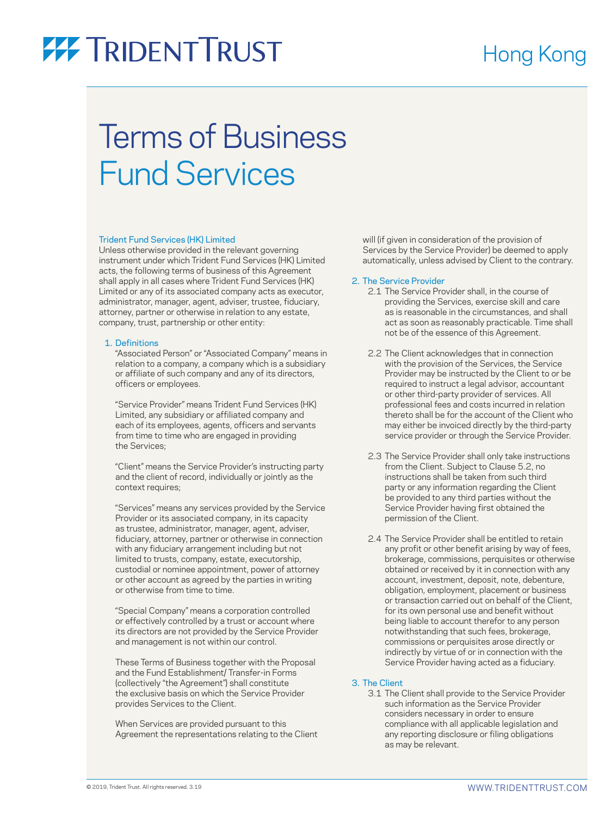### Terms of Business Fund Services

#### Trident Fund Services (HK) Limited

Unless otherwise provided in the relevant governing instrument under which Trident Fund Services (HK) Limited acts, the following terms of business of this Agreement shall apply in all cases where Trident Fund Services (HK) Limited or any of its associated company acts as executor, administrator, manager, agent, adviser, trustee, fiduciary, attorney, partner or otherwise in relation to any estate, company, trust, partnership or other entity:

#### 1. Definitions

 "Associated Person" or "Associated Company" means in relation to a company, a company which is a subsidiary or affiliate of such company and any of its directors, officers or employees.

 "Service Provider" means Trident Fund Services (HK) Limited, any subsidiary or affiliated company and each of its employees, agents, officers and servants from time to time who are engaged in providing the Services;

 "Client" means the Service Provider's instructing party and the client of record, individually or jointly as the context requires;

 "Services" means any services provided by the Service Provider or its associated company, in its capacity as trustee, administrator, manager, agent, adviser, fiduciary, attorney, partner or otherwise in connection with any fiduciary arrangement including but not limited to trusts, company, estate, executorship, custodial or nominee appointment, power of attorney or other account as agreed by the parties in writing or otherwise from time to time.

 "Special Company" means a corporation controlled or effectively controlled by a trust or account where its directors are not provided by the Service Provider and management is not within our control.

 These Terms of Business together with the Proposal and the Fund Establishment/ Transfer-in Forms (collectively "the Agreement") shall constitute the exclusive basis on which the Service Provider provides Services to the Client.

 When Services are provided pursuant to this Agreement the representations relating to the Client

will (if given in consideration of the provision of Services by the Service Provider) be deemed to apply automatically, unless advised by Client to the contrary.

#### 2. The Service Provider

- 2.1 The Service Provider shall, in the course of providing the Services, exercise skill and care as is reasonable in the circumstances, and shall act as soon as reasonably practicable. Time shall not be of the essence of this Agreement.
- 2.2 The Client acknowledges that in connection with the provision of the Services, the Service Provider may be instructed by the Client to or be required to instruct a legal advisor, accountant or other third-party provider of services. All professional fees and costs incurred in relation thereto shall be for the account of the Client who may either be invoiced directly by the third-party service provider or through the Service Provider.
- 2.3 The Service Provider shall only take instructions from the Client. Subject to Clause 5.2, no instructions shall be taken from such third party or any information regarding the Client be provided to any third parties without the Service Provider having first obtained the permission of the Client.
- 2.4 The Service Provider shall be entitled to retain any profit or other benefit arising by way of fees, brokerage, commissions, perquisites or otherwise obtained or received by it in connection with any account, investment, deposit, note, debenture, obligation, employment, placement or business or transaction carried out on behalf of the Client, for its own personal use and benefit without being liable to account therefor to any person notwithstanding that such fees, brokerage, commissions or perquisites arose directly or indirectly by virtue of or in connection with the Service Provider having acted as a fiduciary.

#### 3. The Client

 3.1 The Client shall provide to the Service Provider such information as the Service Provider considers necessary in order to ensure compliance with all applicable legislation and any reporting disclosure or filing obligations as may be relevant.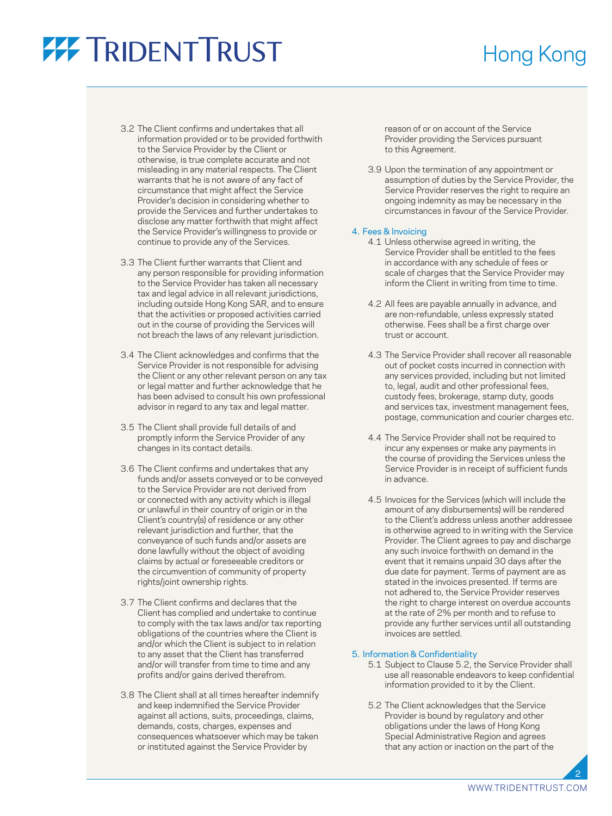### Hong Kong

- 3.2 The Client confirms and undertakes that all information provided or to be provided forthwith to the Service Provider by the Client or otherwise, is true complete accurate and not misleading in any material respects. The Client warrants that he is not aware of any fact of circumstance that might affect the Service Provider's decision in considering whether to provide the Services and further undertakes to disclose any matter forthwith that might affect the Service Provider's willingness to provide or continue to provide any of the Services.
- 3.3 The Client further warrants that Client and any person responsible for providing information to the Service Provider has taken all necessary tax and legal advice in all relevant jurisdictions, including outside Hong Kong SAR, and to ensure that the activities or proposed activities carried out in the course of providing the Services will not breach the laws of any relevant jurisdiction.
- 3.4 The Client acknowledges and confirms that the Service Provider is not responsible for advising the Client or any other relevant person on any tax or legal matter and further acknowledge that he has been advised to consult his own professional advisor in regard to any tax and legal matter.
- 3.5 The Client shall provide full details of and promptly inform the Service Provider of any changes in its contact details.
- 3.6 The Client confirms and undertakes that any funds and/or assets conveyed or to be conveyed to the Service Provider are not derived from or connected with any activity which is illegal or unlawful in their country of origin or in the Client's country(s) of residence or any other relevant jurisdiction and further, that the conveyance of such funds and/or assets are done lawfully without the object of avoiding claims by actual or foreseeable creditors or the circumvention of community of property rights/joint ownership rights.
- 3.7 The Client confirms and declares that the Client has complied and undertake to continue to comply with the tax laws and/or tax reporting obligations of the countries where the Client is and/or which the Client is subject to in relation to any asset that the Client has transferred and/or will transfer from time to time and any profits and/or gains derived therefrom.
- 3.8 The Client shall at all times hereafter indemnify and keep indemnified the Service Provider against all actions, suits, proceedings, claims, demands, costs, charges, expenses and consequences whatsoever which may be taken or instituted against the Service Provider by

reason of or on account of the Service Provider providing the Services pursuant to this Agreement.

 3.9 Upon the termination of any appointment or assumption of duties by the Service Provider, the Service Provider reserves the right to require an ongoing indemnity as may be necessary in the circumstances in favour of the Service Provider.

#### 4. Fees & Invoicing

- 4.1 Unless otherwise agreed in writing, the Service Provider shall be entitled to the fees in accordance with any schedule of fees or scale of charges that the Service Provider may inform the Client in writing from time to time.
- 4.2 All fees are payable annually in advance, and are non-refundable, unless expressly stated otherwise. Fees shall be a first charge over trust or account.
- 4.3 The Service Provider shall recover all reasonable out of pocket costs incurred in connection with any services provided, including but not limited to, legal, audit and other professional fees, custody fees, brokerage, stamp duty, goods and services tax, investment management fees, postage, communication and courier charges etc.
- 4.4 The Service Provider shall not be required to incur any expenses or make any payments in the course of providing the Services unless the Service Provider is in receipt of sufficient funds in advance.
- 4.5 Invoices for the Services (which will include the amount of any disbursements) will be rendered to the Client's address unless another addressee is otherwise agreed to in writing with the Service Provider. The Client agrees to pay and discharge any such invoice forthwith on demand in the event that it remains unpaid 30 days after the due date for payment. Terms of payment are as stated in the invoices presented. If terms are not adhered to, the Service Provider reserves the right to charge interest on overdue accounts at the rate of 2% per month and to refuse to provide any further services until all outstanding invoices are settled.

#### 5. Information & Confidentiality

- 5.1 Subject to Clause 5.2, the Service Provider shall use all reasonable endeavors to keep confidential information provided to it by the Client.
- 5.2 The Client acknowledges that the Service Provider is bound by regulatory and other obligations under the laws of Hong Kong Special Administrative Region and agrees that any action or inaction on the part of the

2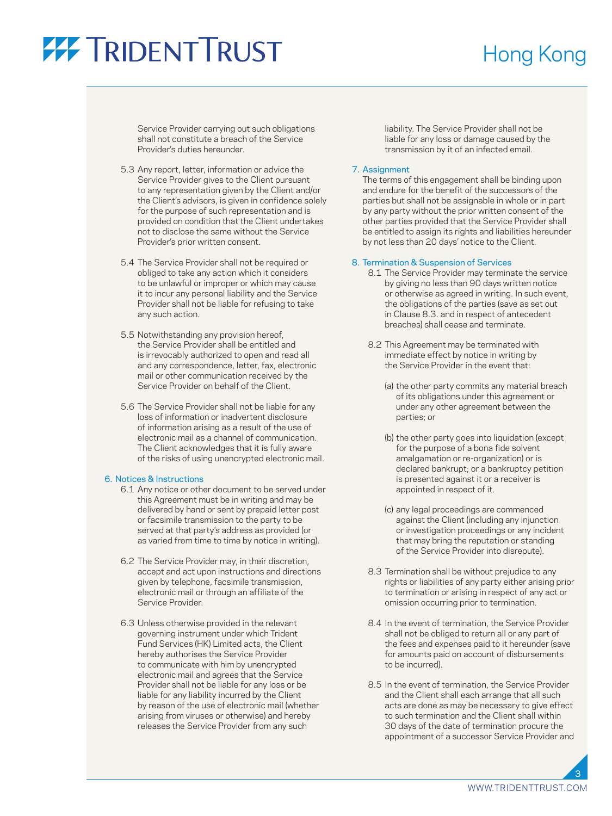### Hong Kong

Service Provider carrying out such obligations shall not constitute a breach of the Service Provider's duties hereunder.

- 5.3 Any report, letter, information or advice the Service Provider gives to the Client pursuant to any representation given by the Client and/or the Client's advisors, is given in confidence solely for the purpose of such representation and is provided on condition that the Client undertakes not to disclose the same without the Service Provider's prior written consent.
- 5.4 The Service Provider shall not be required or obliged to take any action which it considers to be unlawful or improper or which may cause it to incur any personal liability and the Service Provider shall not be liable for refusing to take any such action.
- 5.5 Notwithstanding any provision hereof, the Service Provider shall be entitled and is irrevocably authorized to open and read all and any correspondence, letter, fax, electronic mail or other communication received by the Service Provider on behalf of the Client.
- 5.6 The Service Provider shall not be liable for any loss of information or inadvertent disclosure of information arising as a result of the use of electronic mail as a channel of communication. The Client acknowledges that it is fully aware of the risks of using unencrypted electronic mail.

#### 6. Notices & Instructions

- 6.1 Any notice or other document to be served under this Agreement must be in writing and may be delivered by hand or sent by prepaid letter post or facsimile transmission to the party to be served at that party's address as provided (or as varied from time to time by notice in writing).
- 6.2 The Service Provider may, in their discretion, accept and act upon instructions and directions given by telephone, facsimile transmission, electronic mail or through an affiliate of the Service Provider.
- 6.3 Unless otherwise provided in the relevant governing instrument under which Trident Fund Services (HK) Limited acts, the Client hereby authorises the Service Provider to communicate with him by unencrypted electronic mail and agrees that the Service Provider shall not be liable for any loss or be liable for any liability incurred by the Client by reason of the use of electronic mail (whether arising from viruses or otherwise) and hereby releases the Service Provider from any such

liability. The Service Provider shall not be liable for any loss or damage caused by the transmission by it of an infected email.

#### 7. Assignment

 The terms of this engagement shall be binding upon and endure for the benefit of the successors of the parties but shall not be assignable in whole or in part by any party without the prior written consent of the other parties provided that the Service Provider shall be entitled to assign its rights and liabilities hereunder by not less than 20 days' notice to the Client.

#### 8. Termination & Suspension of Services

- 8.1 The Service Provider may terminate the service by giving no less than 90 days written notice or otherwise as agreed in writing. In such event, the obligations of the parties (save as set out in Clause 8.3. and in respect of antecedent breaches) shall cease and terminate.
- 8.2 This Agreement may be terminated with immediate effect by notice in writing by the Service Provider in the event that:
	- (a) the other party commits any material breach of its obligations under this agreement or under any other agreement between the parties; or
	- (b) the other party goes into liquidation (except for the purpose of a bona fide solvent amalgamation or re-organization) or is declared bankrupt; or a bankruptcy petition is presented against it or a receiver is appointed in respect of it.
	- (c) any legal proceedings are commenced against the Client (including any injunction or investigation proceedings or any incident that may bring the reputation or standing of the Service Provider into disrepute).
- 8.3 Termination shall be without prejudice to any rights or liabilities of any party either arising prior to termination or arising in respect of any act or omission occurring prior to termination.
- 8.4 In the event of termination, the Service Provider shall not be obliged to return all or any part of the fees and expenses paid to it hereunder (save for amounts paid on account of disbursements to be incurred).
- 8.5 In the event of termination, the Service Provider and the Client shall each arrange that all such acts are done as may be necessary to give effect to such termination and the Client shall within 30 days of the date of termination procure the appointment of a successor Service Provider and

[WWW.TRIDENTTRUST.COM](http://www.tridenttrust.com)

3